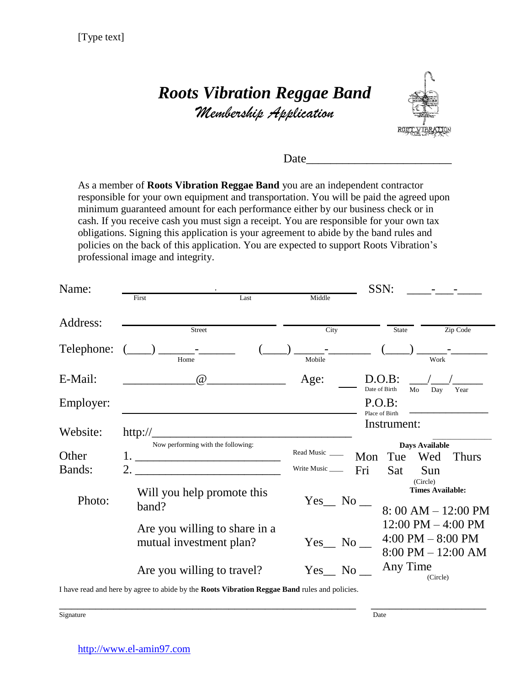## *Roots Vibration Reggae Band Membership Application*



Date\_\_\_\_\_\_\_\_\_\_\_\_\_\_\_\_\_\_\_\_\_\_\_\_

As a member of **Roots Vibration Reggae Band** you are an independent contractor responsible for your own equipment and transportation. You will be paid the agreed upon minimum guaranteed amount for each performance either by our business check or in cash. If you receive cash you must sign a receipt. You are responsible for your own tax obligations. Signing this application is your agreement to abide by the band rules and policies on the back of this application. You are expected to support Roots Vibration's professional image and integrity.

| Name:           |                                                                                        |                                             |      |                                                                                               |                                                                                                                                                                                               | SSN:                     |                                     |                      |  |
|-----------------|----------------------------------------------------------------------------------------|---------------------------------------------|------|-----------------------------------------------------------------------------------------------|-----------------------------------------------------------------------------------------------------------------------------------------------------------------------------------------------|--------------------------|-------------------------------------|----------------------|--|
|                 | First                                                                                  |                                             | Last | Middle                                                                                        |                                                                                                                                                                                               |                          |                                     |                      |  |
| Address:        |                                                                                        | Street                                      |      | City                                                                                          |                                                                                                                                                                                               | <b>State</b>             |                                     | Zip Code             |  |
| Telephone:      |                                                                                        | Home                                        |      | Mobile                                                                                        |                                                                                                                                                                                               |                          | Work                                |                      |  |
| E-Mail:         |                                                                                        | $\omega$                                    |      | Age:                                                                                          |                                                                                                                                                                                               | D.O.B:<br>Date of Birth  | Day<br>Mo                           | Year                 |  |
| Employer:       |                                                                                        |                                             |      |                                                                                               |                                                                                                                                                                                               | P.O.B:<br>Place of Birth |                                     |                      |  |
| Website:        | Instrument:<br>$http://_________$                                                      |                                             |      |                                                                                               |                                                                                                                                                                                               |                          |                                     |                      |  |
|                 |                                                                                        | Now performing with the following:          |      | Read Music _____                                                                              |                                                                                                                                                                                               |                          | Days Available                      |                      |  |
| Other<br>Bands: |                                                                                        | <u>1. _________________________________</u> |      | Write Music _____                                                                             | Mon<br>Fri                                                                                                                                                                                    | Tue<br>Sat               | Wed<br>Sun                          | <b>Thurs</b>         |  |
| Photo:          | band?                                                                                  | Will you help promote this                  |      | Yes No                                                                                        |                                                                                                                                                                                               |                          | (Circle)<br><b>Times Available:</b> | $8:00 AM - 12:00 PM$ |  |
|                 | Are you willing to share in a<br>mutual investment plan?<br>Are you willing to travel? |                                             |      |                                                                                               | $12:00 \text{ PM} - 4:00 \text{ PM}$<br>$4:00 \text{ PM} - 8:00 \text{ PM}$<br>$Yes_$ No<br>$8:00 \text{ PM} - 12:00 \text{ AM}$<br>Any Time<br>$Yes$ No $\overline{\phantom{a}}$<br>(Circle) |                          |                                     |                      |  |
|                 |                                                                                        |                                             |      |                                                                                               |                                                                                                                                                                                               |                          |                                     |                      |  |
|                 |                                                                                        |                                             |      | I have good and have by agree to ghide by the Doots Vihyotian Deggae. Dond wilso and policies |                                                                                                                                                                                               |                          |                                     |                      |  |

\_\_\_\_\_\_\_\_\_\_\_\_\_\_\_\_\_\_\_\_\_\_\_\_\_\_\_\_\_\_\_\_\_\_\_\_\_\_\_\_\_\_\_\_\_\_\_\_\_ \_\_\_\_\_\_\_\_\_\_\_\_\_\_\_\_\_\_\_

I have read and here by agree to abide by the **Roots Vibration Reggae Band** rules and policies.

Signature Date **Date**